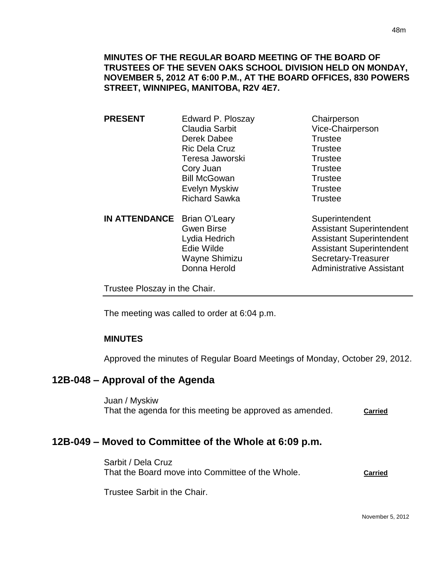**PRESENT** Edward P. Ploszay Chairperson Claudia Sarbit Vice-Chairperson Derek Dabee Trustee Ric Dela Cruz **Trustee** Teresa Jaworski **Trustee** Cory Juan Trustee Bill McGowan Trustee Evelyn Myskiw **Trustee** Richard Sawka Trustee

**IN ATTENDANCE** Brian O'Leary Superintendent

Gwen Birse **Assistant Superintendent** Lydia Hedrich Assistant Superintendent Edie Wilde **Assistant Superintendent** Wayne Shimizu Secretary-Treasurer Donna Herold **Administrative Assistant** 

Trustee Ploszay in the Chair.

The meeting was called to order at 6:04 p.m.

# **MINUTES**

Approved the minutes of Regular Board Meetings of Monday, October 29, 2012.

# **12B-048 – Approval of the Agenda**

Juan / Myskiw That the agenda for this meeting be approved as amended. **Carried**

# **12B-049 – Moved to Committee of the Whole at 6:09 p.m.**

Sarbit / Dela Cruz That the Board move into Committee of the Whole. **Carried**

Trustee Sarbit in the Chair.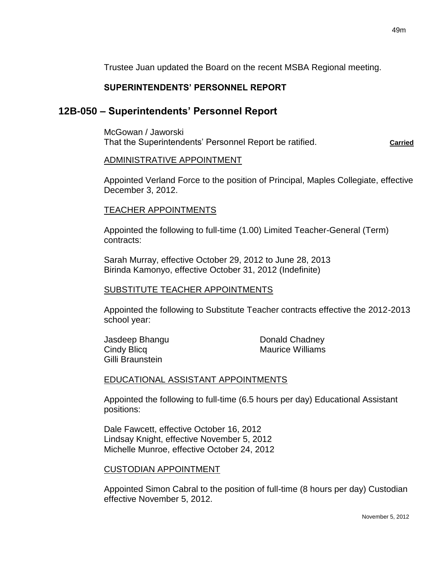Trustee Juan updated the Board on the recent MSBA Regional meeting.

### **SUPERINTENDENTS' PERSONNEL REPORT**

### **12B-050 – Superintendents' Personnel Report**

McGowan / Jaworski That the Superintendents' Personnel Report be ratified. **Carried** 

#### ADMINISTRATIVE APPOINTMENT

Appointed Verland Force to the position of Principal, Maples Collegiate, effective December 3, 2012.

#### TEACHER APPOINTMENTS

Appointed the following to full-time (1.00) Limited Teacher-General (Term) contracts:

Sarah Murray, effective October 29, 2012 to June 28, 2013 Birinda Kamonyo, effective October 31, 2012 (Indefinite)

#### SUBSTITUTE TEACHER APPOINTMENTS

Appointed the following to Substitute Teacher contracts effective the 2012-2013 school year:

Gilli Braunstein

Jasdeep Bhangu Donald Chadney Cindy Blicq **Maurice Williams** 

#### EDUCATIONAL ASSISTANT APPOINTMENTS

Appointed the following to full-time (6.5 hours per day) Educational Assistant positions:

Dale Fawcett, effective October 16, 2012 Lindsay Knight, effective November 5, 2012 Michelle Munroe, effective October 24, 2012

#### CUSTODIAN APPOINTMENT

Appointed Simon Cabral to the position of full-time (8 hours per day) Custodian effective November 5, 2012.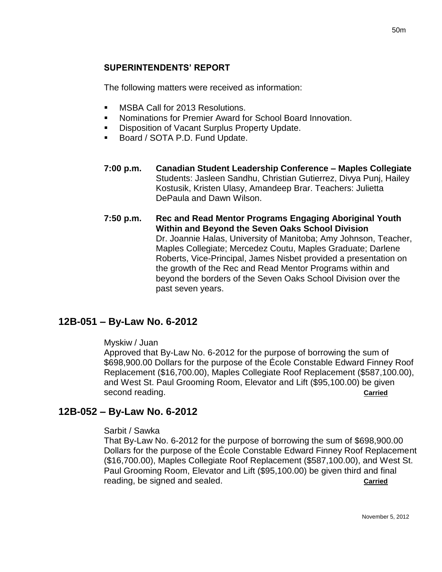## **SUPERINTENDENTS' REPORT**

The following matters were received as information:

- MSBA Call for 2013 Resolutions.
- Nominations for Premier Award for School Board Innovation.
- Disposition of Vacant Surplus Property Update.
- Board / SOTA P.D. Fund Update.
- **7:00 p.m. Canadian Student Leadership Conference – Maples Collegiate** Students: Jasleen Sandhu, Christian Gutierrez, Divya Punj, Hailey Kostusik, Kristen Ulasy, Amandeep Brar. Teachers: Julietta DePaula and Dawn Wilson.
- **7:50 p.m. Rec and Read Mentor Programs Engaging Aboriginal Youth Within and Beyond the Seven Oaks School Division** Dr. Joannie Halas, University of Manitoba; Amy Johnson, Teacher, Maples Collegiate; Mercedez Coutu, Maples Graduate; Darlene Roberts, Vice-Principal, James Nisbet provided a presentation on the growth of the Rec and Read Mentor Programs within and beyond the borders of the Seven Oaks School Division over the past seven years.

# **12B-051 – By-Law No. 6-2012**

#### Myskiw / Juan

Approved that By-Law No. 6-2012 for the purpose of borrowing the sum of \$698,900.00 Dollars for the purpose of the École Constable Edward Finney Roof Replacement (\$16,700.00), Maples Collegiate Roof Replacement (\$587,100.00), and West St. Paul Grooming Room, Elevator and Lift (\$95,100.00) be given second reading. **Carried Carried Carried Carried Carried** 

# **12B-052 – By-Law No. 6-2012**

#### Sarbit / Sawka

That By-Law No. 6-2012 for the purpose of borrowing the sum of \$698,900.00 Dollars for the purpose of the École Constable Edward Finney Roof Replacement (\$16,700.00), Maples Collegiate Roof Replacement (\$587,100.00), and West St. Paul Grooming Room, Elevator and Lift (\$95,100.00) be given third and final reading, be signed and sealed. **Carried**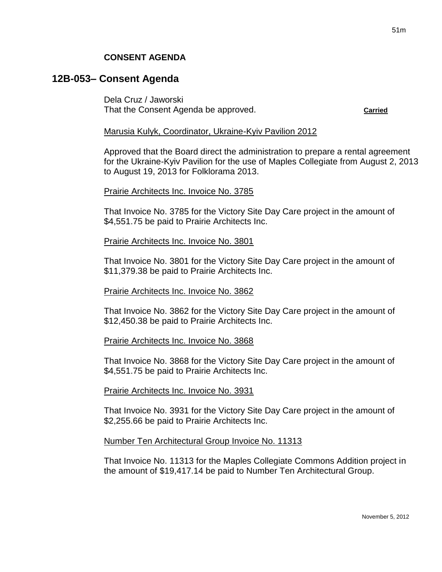# **12B-053– Consent Agenda**

Dela Cruz / Jaworski That the Consent Agenda be approved. **Carried**

#### Marusia Kulyk, Coordinator, Ukraine-Kyiv Pavilion 2012

Approved that the Board direct the administration to prepare a rental agreement for the Ukraine-Kyiv Pavilion for the use of Maples Collegiate from August 2, 2013 to August 19, 2013 for Folklorama 2013.

#### Prairie Architects Inc. Invoice No. 3785

That Invoice No. 3785 for the Victory Site Day Care project in the amount of \$4,551.75 be paid to Prairie Architects Inc.

#### Prairie Architects Inc. Invoice No. 3801

That Invoice No. 3801 for the Victory Site Day Care project in the amount of \$11,379.38 be paid to Prairie Architects Inc.

#### Prairie Architects Inc. Invoice No. 3862

That Invoice No. 3862 for the Victory Site Day Care project in the amount of \$12,450.38 be paid to Prairie Architects Inc.

#### Prairie Architects Inc. Invoice No. 3868

That Invoice No. 3868 for the Victory Site Day Care project in the amount of \$4,551.75 be paid to Prairie Architects Inc.

#### Prairie Architects Inc. Invoice No. 3931

That Invoice No. 3931 for the Victory Site Day Care project in the amount of \$2,255.66 be paid to Prairie Architects Inc.

### Number Ten Architectural Group Invoice No. 11313

That Invoice No. 11313 for the Maples Collegiate Commons Addition project in the amount of \$19,417.14 be paid to Number Ten Architectural Group.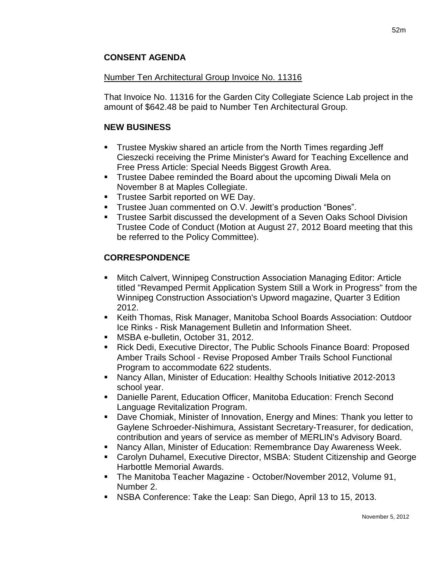## **CONSENT AGENDA**

### Number Ten Architectural Group Invoice No. 11316

That Invoice No. 11316 for the Garden City Collegiate Science Lab project in the amount of \$642.48 be paid to Number Ten Architectural Group.

## **NEW BUSINESS**

- Trustee Myskiw shared an article from the North Times regarding Jeff Cieszecki receiving the Prime Minister's Award for Teaching Excellence and Free Press Article: Special Needs Biggest Growth Area.
- Trustee Dabee reminded the Board about the upcoming Diwali Mela on November 8 at Maples Collegiate.
- Trustee Sarbit reported on WE Day.
- Trustee Juan commented on O.V. Jewitt's production "Bones".
- **Trustee Sarbit discussed the development of a Seven Oaks School Division** Trustee Code of Conduct (Motion at August 27, 2012 Board meeting that this be referred to the Policy Committee).

# **CORRESPONDENCE**

- Mitch Calvert, Winnipeg Construction Association Managing Editor: Article titled "Revamped Permit Application System Still a Work in Progress" from the Winnipeg Construction Association's Upword magazine, Quarter 3 Edition 2012.
- Keith Thomas, Risk Manager, Manitoba School Boards Association: Outdoor Ice Rinks - Risk Management Bulletin and Information Sheet.
- **MSBA e-bulletin, October 31, 2012.**
- Rick Dedi, Executive Director, The Public Schools Finance Board: Proposed Amber Trails School - Revise Proposed Amber Trails School Functional Program to accommodate 622 students.
- Nancy Allan, Minister of Education: Healthy Schools Initiative 2012-2013 school year.
- Danielle Parent, Education Officer, Manitoba Education: French Second Language Revitalization Program.
- Dave Chomiak, Minister of Innovation, Energy and Mines: Thank you letter to Gaylene Schroeder-Nishimura, Assistant Secretary-Treasurer, for dedication, contribution and years of service as member of MERLIN's Advisory Board.
- Nancy Allan, Minister of Education: Remembrance Day Awareness Week.
- Carolyn Duhamel, Executive Director, MSBA: Student Citizenship and George Harbottle Memorial Awards.
- The Manitoba Teacher Magazine October/November 2012, Volume 91, Number 2.
- NSBA Conference: Take the Leap: San Diego, April 13 to 15, 2013.